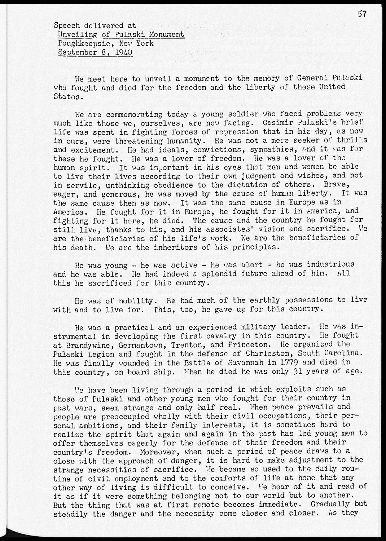Speech delivered at Unveiling of Pulaski Monument Poughkeepsie, New York September 8, 1940

Ve meet here to unveil a monument to the memory of General Pulaski who fought and died for the freedom and the liberty of these United States.

Ve are commemorating today a young soldier who faced problems very much like those we, ourselves, are now facing. Casimir Pulaski's brief life was spent in fighting forces.of repression that in his day, as now in ours, were threatening humanity. He was not a mere seeker of thrills and excitement. He had ideals, convictions, sympathies, and it was for these he fought. He was a lover of freedom. He was a lover of the human spirit. It was important in his eyes that men and women be able to live their lives according to their own judgment and wishes, and not in servile, unthinking obedience to the dictation of others. Brave, eager, and generous, he was moved by the cause of human liberty. It was the same cause then as now. It was the same cause in Europe as in America, He fought for it in Europe, he fought for it in America, and fighting for it here, he died. The cause and the country he fought for still live, thanks to his, and his associates' vision and sacrifice. Ve are the beneficiaries of his life's work. We are the beneficiaries of his death. Ve are the inheritors of his principles.

He was young - he was active - he was alert - he was industrious and he was able. He had indeed a splendid future ahead of him. All this he sacrificed for this country.

He was of nobility. He had much of the earthly possessions to live with and to live for. This, too, he gave up for this country.

He was a practical and an experienced military leader. He was instrumental in developing the first cavalry in this country. He fought at Brandywine, Germantown, Trenton, and Princeton. He organised the Pulaski Legion and fought in the defense of Charleston, South Carolina. He was finally wounded in the Battle of Savannah in 1779 and died in this country, on board ship. Vhen he died he was only 31 years of age.

Ve have been living through a period in which exploits such as those of Pulaski and other young men who fought for their country in past wars, seem strange and only half real. When peace prevails and people are preoccupied wholly with their civil occupations, their personal ambitions, and their family interests, it is sometimes hard to realise the spirit that again and again in the past has led young men to offer themselves eagerly for the defense of their freedom and their country's freedom. Moreover, when such a period of peace draws to a close with the approach of danger, it is hard to make adjustment to the strange necessities of sacrifice. Ve became so used to the daily routine of civil employment and to the comforts of life at home that any other way of living is difficult to conceive. Ve hear of it and read of it as if it were something belonging not to our world but to another. But the thing that was at first remote becomes immediate. Gradually but steadily the danger and the necessity come closer and closer. As they